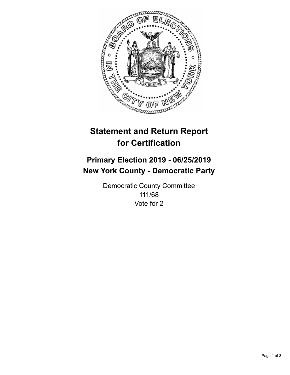

## **Statement and Return Report for Certification**

## **Primary Election 2019 - 06/25/2019 New York County - Democratic Party**

Democratic County Committee 111/68 Vote for 2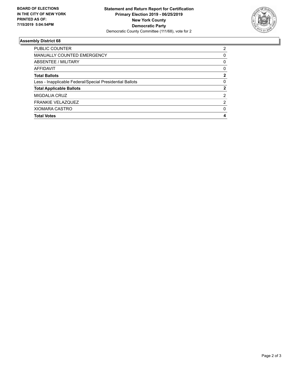

## **Assembly District 68**

| PUBLIC COUNTER                                           | 2              |
|----------------------------------------------------------|----------------|
| <b>MANUALLY COUNTED EMERGENCY</b>                        | $\Omega$       |
| ABSENTEE / MILITARY                                      | 0              |
| <b>AFFIDAVIT</b>                                         | 0              |
| <b>Total Ballots</b>                                     | 2              |
| Less - Inapplicable Federal/Special Presidential Ballots | $\Omega$       |
| <b>Total Applicable Ballots</b>                          | 2              |
| <b>MIGDALIA CRUZ</b>                                     | $\overline{2}$ |
| <b>FRANKIE VELAZQUEZ</b>                                 | 2              |
| <b>XIOMARA CASTRO</b>                                    | 0              |
| <b>Total Votes</b>                                       | 4              |